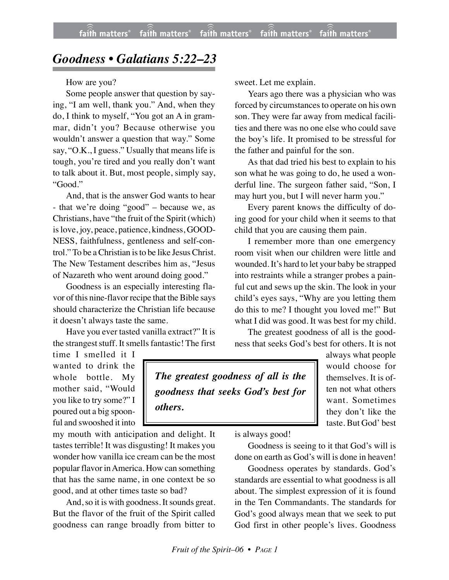## *Goodness • Galatians 5:22–23*

## How are you?

Some people answer that question by saying, "I am well, thank you." And, when they do, I think to myself, "You got an A in grammar, didn't you? Because otherwise you wouldn't answer a question that way." Some say, "O.K., I guess." Usually that means life is tough, you're tired and you really don't want to talk about it. But, most people, simply say, "Good."

And, that is the answer God wants to hear - that we're doing "good" – because we, as Christians, have "the fruit of the Spirit (which) is love, joy, peace, patience, kindness, GOOD-NESS, faithfulness, gentleness and self-control." To be a Christian is to be like Jesus Christ. The New Testament describes him as, "Jesus of Nazareth who went around doing good."

Goodness is an especially interesting flavor of this nine-flavor recipe that the Bible says should characterize the Christian life because it doesn't always taste the same.

Have you ever tasted vanilla extract?" It is the strangest stuff. It smells fantastic! The first

time I smelled it I wanted to drink the whole bottle. My mother said, "Would you like to try some?" I poured out a big spoonful and swooshed it into

my mouth with anticipation and delight. It tastes terrible! It was disgusting! It makes you wonder how vanilla ice cream can be the most popular flavor in America. How can something that has the same name, in one context be so good, and at other times taste so bad?

And, so it is with goodness. It sounds great. But the flavor of the fruit of the Spirit called goodness can range broadly from bitter to sweet. Let me explain.

Years ago there was a physician who was forced by circumstances to operate on his own son. They were far away from medical facilities and there was no one else who could save the boy's life. It promised to be stressful for the father and painful for the son.

As that dad tried his best to explain to his son what he was going to do, he used a wonderful line. The surgeon father said, "Son, I may hurt you, but I will never harm you."

Every parent knows the difficulty of doing good for your child when it seems to that child that you are causing them pain.

I remember more than one emergency room visit when our children were little and wounded. It's hard to let your baby be strapped into restraints while a stranger probes a painful cut and sews up the skin. The look in your child's eyes says, "Why are you letting them do this to me? I thought you loved me!" But what I did was good. It was best for my child.

The greatest goodness of all is the goodness that seeks God's best for others. It is not

*The greatest goodness of all is the goodness that seeks God's best for others.*

always what people would choose for themselves. It is often not what others want. Sometimes they don't like the taste. But God' best

is always good!

Goodness is seeing to it that God's will is done on earth as God's will is done in heaven!

Goodness operates by standards. God's standards are essential to what goodness is all about. The simplest expression of it is found in the Ten Commandants. The standards for God's good always mean that we seek to put God first in other people's lives. Goodness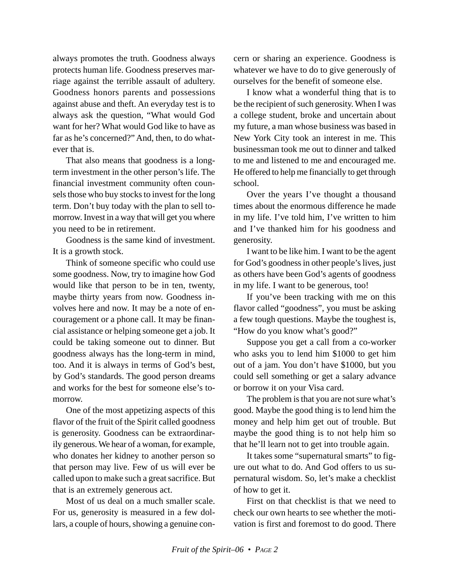always promotes the truth. Goodness always protects human life. Goodness preserves marriage against the terrible assault of adultery. Goodness honors parents and possessions against abuse and theft. An everyday test is to always ask the question, "What would God want for her? What would God like to have as far as he's concerned?" And, then, to do whatever that is.

That also means that goodness is a longterm investment in the other person's life. The financial investment community often counsels those who buy stocks to invest for the long term. Don't buy today with the plan to sell tomorrow. Invest in a way that will get you where you need to be in retirement.

Goodness is the same kind of investment. It is a growth stock.

Think of someone specific who could use some goodness. Now, try to imagine how God would like that person to be in ten, twenty, maybe thirty years from now. Goodness involves here and now. It may be a note of encouragement or a phone call. It may be financial assistance or helping someone get a job. It could be taking someone out to dinner. But goodness always has the long-term in mind, too. And it is always in terms of God's best, by God's standards. The good person dreams and works for the best for someone else's tomorrow.

One of the most appetizing aspects of this flavor of the fruit of the Spirit called goodness is generosity. Goodness can be extraordinarily generous. We hear of a woman, for example, who donates her kidney to another person so that person may live. Few of us will ever be called upon to make such a great sacrifice. But that is an extremely generous act.

Most of us deal on a much smaller scale. For us, generosity is measured in a few dollars, a couple of hours, showing a genuine concern or sharing an experience. Goodness is whatever we have to do to give generously of ourselves for the benefit of someone else.

I know what a wonderful thing that is to be the recipient of such generosity. When I was a college student, broke and uncertain about my future, a man whose business was based in New York City took an interest in me. This businessman took me out to dinner and talked to me and listened to me and encouraged me. He offered to help me financially to get through school.

Over the years I've thought a thousand times about the enormous difference he made in my life. I've told him, I've written to him and I've thanked him for his goodness and generosity.

I want to be like him. I want to be the agent for God's goodness in other people's lives, just as others have been God's agents of goodness in my life. I want to be generous, too!

If you've been tracking with me on this flavor called "goodness", you must be asking a few tough questions. Maybe the toughest is, "How do you know what's good?"

Suppose you get a call from a co-worker who asks you to lend him \$1000 to get him out of a jam. You don't have \$1000, but you could sell something or get a salary advance or borrow it on your Visa card.

The problem is that you are not sure what's good. Maybe the good thing is to lend him the money and help him get out of trouble. But maybe the good thing is to not help him so that he'll learn not to get into trouble again.

It takes some "supernatural smarts" to figure out what to do. And God offers to us supernatural wisdom. So, let's make a checklist of how to get it.

First on that checklist is that we need to check our own hearts to see whether the motivation is first and foremost to do good. There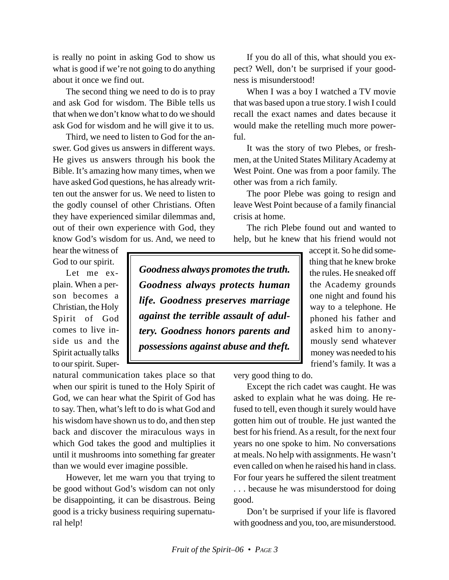is really no point in asking God to show us what is good if we're not going to do anything about it once we find out.

The second thing we need to do is to pray and ask God for wisdom. The Bible tells us that when we don't know what to do we should ask God for wisdom and he will give it to us.

Third, we need to listen to God for the answer. God gives us answers in different ways. He gives us answers through his book the Bible. It's amazing how many times, when we have asked God questions, he has already written out the answer for us. We need to listen to the godly counsel of other Christians. Often they have experienced similar dilemmas and, out of their own experience with God, they know God's wisdom for us. And, we need to

hear the witness of God to our spirit.

Let me explain. When a person becomes a Christian, the Holy Spirit of God comes to live inside us and the Spirit actually talks to our spirit. Super-

*Goodness always promotes the truth. Goodness always protects human life. Goodness preserves marriage against the terrible assault of adultery. Goodness honors parents and possessions against abuse and theft.*

natural communication takes place so that when our spirit is tuned to the Holy Spirit of God, we can hear what the Spirit of God has to say. Then, what's left to do is what God and his wisdom have shown us to do, and then step back and discover the miraculous ways in which God takes the good and multiplies it until it mushrooms into something far greater than we would ever imagine possible.

However, let me warn you that trying to be good without God's wisdom can not only be disappointing, it can be disastrous. Being good is a tricky business requiring supernatural help!

If you do all of this, what should you expect? Well, don't be surprised if your goodness is misunderstood!

When I was a boy I watched a TV movie that was based upon a true story. I wish I could recall the exact names and dates because it would make the retelling much more powerful.

It was the story of two Plebes, or freshmen, at the United States Military Academy at West Point. One was from a poor family. The other was from a rich family.

The poor Plebe was going to resign and leave West Point because of a family financial crisis at home.

The rich Plebe found out and wanted to help, but he knew that his friend would not

> accept it. So he did something that he knew broke the rules. He sneaked off the Academy grounds one night and found his way to a telephone. He phoned his father and asked him to anonymously send whatever money was needed to his friend's family. It was a

very good thing to do.

Except the rich cadet was caught. He was asked to explain what he was doing. He refused to tell, even though it surely would have gotten him out of trouble. He just wanted the best for his friend. As a result, for the next four years no one spoke to him. No conversations at meals. No help with assignments. He wasn't even called on when he raised his hand in class. For four years he suffered the silent treatment . . . because he was misunderstood for doing good.

Don't be surprised if your life is flavored with goodness and you, too, are misunderstood.